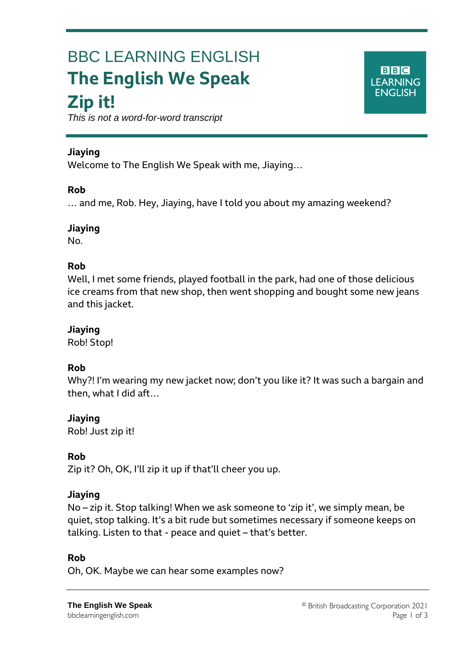# BBC LEARNING ENGLISH **The English We Speak Zip it!**

 $B|B|C|$ **LEARNING ENGLISH** 

*This is not a word-for-word transcript*

# **Jiaying**

Ξ

Welcome to The English We Speak with me, Jiaying…

## **Rob**

… and me, Rob. Hey, Jiaying, have I told you about my amazing weekend?

## **Jiaying**

No.

# **Rob**

Well, I met some friends, played football in the park, had one of those delicious ice creams from that new shop, then went shopping and bought some new jeans and this jacket.

# **Jiaying**

Rob! Stop!

# **Rob**

Why?! I'm wearing my new jacket now; don't you like it? It was such a bargain and then, what I did aft…

# **Jiaying**

Rob! Just zip it!

# **Rob**

Zip it? Oh, OK, I'll zip it up if that'll cheer you up.

# **Jiaying**

No – zip it. Stop talking! When we ask someone to 'zip it', we simply mean, be quiet, stop talking. It's a bit rude but sometimes necessary if someone keeps on talking. Listen to that - peace and quiet – that's better.

#### **Rob**

Oh, OK. Maybe we can hear some examples now?